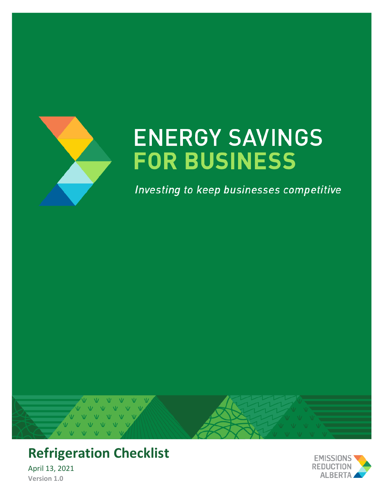

# **ENERGY SAVINGS FOR BUSINESS**

Investing to keep businesses competitive





April 13, 2021 **Version 1.0**

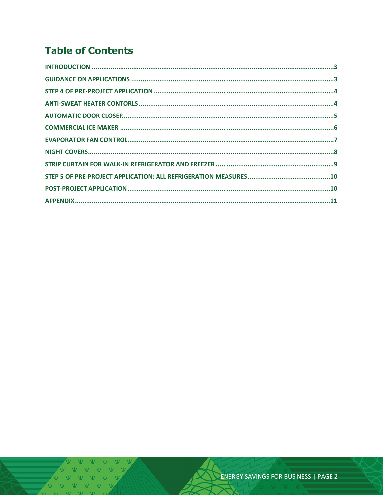## **Table of Contents**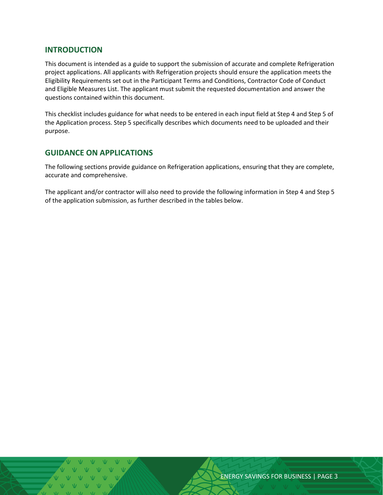#### <span id="page-2-0"></span>**INTRODUCTION**

This document is intended as a guide to support the submission of accurate and complete Refrigeration project applications. All applicants with Refrigeration projects should ensure the application meets the Eligibility Requirements set out in the Participant Terms and Conditions, Contractor Code of Conduct and Eligible Measures List. The applicant must submit the requested documentation and answer the questions contained within this document.

This checklist includes guidance for what needs to be entered in each input field at Step 4 and Step 5 of the Application process. Step 5 specifically describes which documents need to be uploaded and their purpose.

#### <span id="page-2-1"></span>**GUIDANCE ON APPLICATIONS**

The following sections provide guidance on Refrigeration applications, ensuring that they are complete, accurate and comprehensive.

The applicant and/or contractor will also need to provide the following information in Step 4 and Step 5 of the application submission, as further described in the tables below.

ENERGY SAVINGS FOR BUSINESS | PAGE 3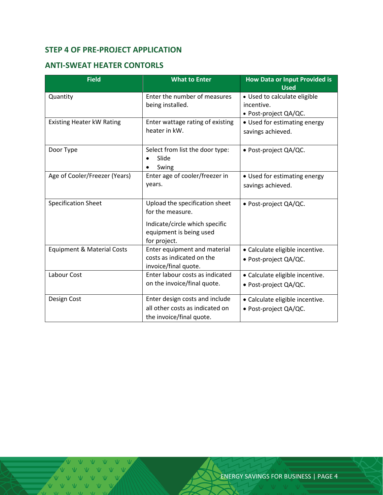#### <span id="page-3-0"></span>**STEP 4 OF PRE-PROJECT APPLICATION**

#### <span id="page-3-1"></span>**ANTI-SWEAT HEATER CONTORLS**

| <b>Field</b>                          | <b>What to Enter</b>                              | How Data or Input Provided is<br><b>Used</b> |  |
|---------------------------------------|---------------------------------------------------|----------------------------------------------|--|
| Quantity                              | Enter the number of measures                      | • Used to calculate eligible                 |  |
|                                       | being installed.                                  | incentive.                                   |  |
|                                       |                                                   | • Post-project QA/QC.                        |  |
| <b>Existing Heater kW Rating</b>      | Enter wattage rating of existing<br>heater in kW. | • Used for estimating energy                 |  |
|                                       |                                                   | savings achieved.                            |  |
| Door Type                             | Select from list the door type:                   | · Post-project QA/QC.                        |  |
|                                       | Slide                                             |                                              |  |
|                                       | Swing                                             |                                              |  |
| Age of Cooler/Freezer (Years)         | Enter age of cooler/freezer in                    | • Used for estimating energy                 |  |
|                                       | years.                                            | savings achieved.                            |  |
|                                       |                                                   |                                              |  |
| <b>Specification Sheet</b>            | Upload the specification sheet                    | • Post-project QA/QC.                        |  |
|                                       | for the measure.                                  |                                              |  |
|                                       | Indicate/circle which specific                    |                                              |  |
|                                       | equipment is being used                           |                                              |  |
|                                       | for project.                                      |                                              |  |
| <b>Equipment &amp; Material Costs</b> | Enter equipment and material                      | · Calculate eligible incentive.              |  |
|                                       | costs as indicated on the                         | · Post-project QA/QC.                        |  |
|                                       | invoice/final quote.                              |                                              |  |
| Labour Cost                           | Enter labour costs as indicated                   | • Calculate eligible incentive.              |  |
|                                       | on the invoice/final quote.                       | • Post-project QA/QC.                        |  |
| Design Cost                           | Enter design costs and include                    | • Calculate eligible incentive.              |  |
|                                       | all other costs as indicated on                   | · Post-project QA/QC.                        |  |
|                                       | the invoice/final quote.                          |                                              |  |

V V V  $\mathbb V$   $\mathbb V$   $\mathbb V$   $\mathbb V$  $V$   $V$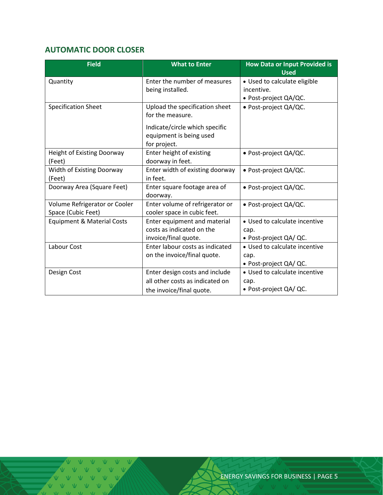### <span id="page-4-0"></span>**AUTOMATIC DOOR CLOSER**

| <b>Field</b>                          | <b>What to Enter</b>            | <b>How Data or Input Provided is</b><br><b>Used</b> |  |
|---------------------------------------|---------------------------------|-----------------------------------------------------|--|
| Quantity                              | Enter the number of measures    | • Used to calculate eligible                        |  |
|                                       | being installed.                | incentive.                                          |  |
|                                       |                                 | • Post-project QA/QC.                               |  |
| <b>Specification Sheet</b>            | Upload the specification sheet  | · Post-project QA/QC.                               |  |
|                                       | for the measure.                |                                                     |  |
|                                       | Indicate/circle which specific  |                                                     |  |
|                                       | equipment is being used         |                                                     |  |
|                                       | for project.                    |                                                     |  |
| <b>Height of Existing Doorway</b>     | Enter height of existing        | · Post-project QA/QC.                               |  |
| (Feet)                                | doorway in feet.                |                                                     |  |
| Width of Existing Doorway             | Enter width of existing doorway | · Post-project QA/QC.                               |  |
| (Feet)                                | in feet.                        |                                                     |  |
| Doorway Area (Square Feet)            | Enter square footage area of    | • Post-project QA/QC.                               |  |
|                                       | doorway.                        |                                                     |  |
| Volume Refrigerator or Cooler         | Enter volume of refrigerator or | · Post-project QA/QC.                               |  |
| Space (Cubic Feet)                    | cooler space in cubic feet.     |                                                     |  |
| <b>Equipment &amp; Material Costs</b> | Enter equipment and material    | • Used to calculate incentive                       |  |
|                                       | costs as indicated on the       | cap.                                                |  |
|                                       | invoice/final quote.            | • Post-project QA/ QC.                              |  |
| Labour Cost                           | Enter labour costs as indicated | • Used to calculate incentive                       |  |
|                                       | on the invoice/final quote.     | cap.                                                |  |
|                                       |                                 | • Post-project QA/ QC.                              |  |
| Design Cost                           | Enter design costs and include  | • Used to calculate incentive                       |  |
|                                       | all other costs as indicated on | cap.                                                |  |
|                                       | the invoice/final quote.        | • Post-project QA/ QC.                              |  |

 $V-V$  $\overline{M}$   $\overline{M}$   $\overline{M}$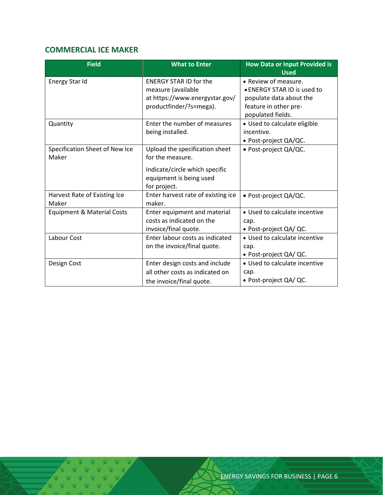#### <span id="page-5-0"></span>**COMMERCIAL ICE MAKER**

| <b>Field</b>                   | <b>What to Enter</b>               | <b>How Data or Input Provided is</b><br><b>Used</b> |  |
|--------------------------------|------------------------------------|-----------------------------------------------------|--|
| Energy Star Id                 | <b>ENERGY STAR ID for the</b>      | • Review of measure.                                |  |
|                                | measure (available                 | • ENERGY STAR ID is used to                         |  |
|                                | at https://www.energystar.gov/     | populate data about the                             |  |
|                                | productfinder/?s=mega).            | feature in other pre-                               |  |
|                                |                                    | populated fields.                                   |  |
| Quantity                       | Enter the number of measures       | • Used to calculate eligible                        |  |
|                                | being installed.                   | incentive.                                          |  |
|                                |                                    | • Post-project QA/QC.                               |  |
| Specification Sheet of New Ice | Upload the specification sheet     | · Post-project QA/QC.                               |  |
| Maker                          | for the measure.                   |                                                     |  |
|                                | Indicate/circle which specific     |                                                     |  |
|                                | equipment is being used            |                                                     |  |
|                                | for project.                       |                                                     |  |
| Harvest Rate of Existing Ice   | Enter harvest rate of existing ice | · Post-project QA/QC.                               |  |
| Maker                          | maker.                             |                                                     |  |
| Equipment & Material Costs     | Enter equipment and material       | • Used to calculate incentive                       |  |
|                                | costs as indicated on the          | cap.                                                |  |
|                                | invoice/final quote.               | · Post-project QA/ QC.                              |  |
| Labour Cost                    | Enter labour costs as indicated    | • Used to calculate incentive                       |  |
|                                | on the invoice/final quote.        | cap.                                                |  |
|                                |                                    | • Post-project QA/ QC.                              |  |
| Design Cost                    | Enter design costs and include     | • Used to calculate incentive                       |  |
|                                | all other costs as indicated on    | cap.                                                |  |
|                                | the invoice/final quote.           | • Post-project QA/ QC.                              |  |

V V V V V<br>V V V V V V V V V V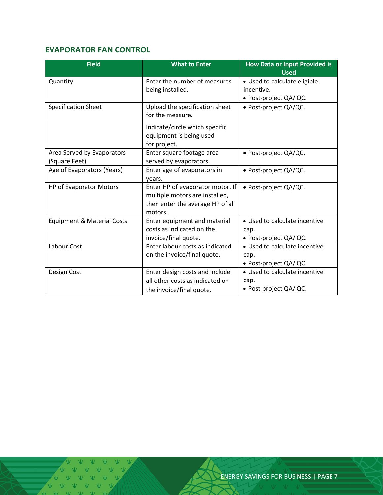#### <span id="page-6-0"></span>**EVAPORATOR FAN CONTROL**

| <b>Field</b>                          | <b>What to Enter</b>             | <b>How Data or Input Provided is</b><br><b>Used</b> |  |
|---------------------------------------|----------------------------------|-----------------------------------------------------|--|
| Quantity                              | Enter the number of measures     | • Used to calculate eligible                        |  |
|                                       | being installed.                 | incentive.                                          |  |
|                                       |                                  | • Post-project QA/ QC.                              |  |
| <b>Specification Sheet</b>            | Upload the specification sheet   | · Post-project QA/QC.                               |  |
|                                       | for the measure.                 |                                                     |  |
|                                       | Indicate/circle which specific   |                                                     |  |
|                                       | equipment is being used          |                                                     |  |
|                                       | for project.                     |                                                     |  |
| Area Served by Evaporators            | Enter square footage area        | · Post-project QA/QC.                               |  |
| (Square Feet)                         | served by evaporators.           |                                                     |  |
| Age of Evaporators (Years)            | Enter age of evaporators in      | · Post-project QA/QC.                               |  |
|                                       | years.                           |                                                     |  |
| HP of Evaporator Motors               | Enter HP of evaporator motor. If | • Post-project QA/QC.                               |  |
|                                       | multiple motors are installed,   |                                                     |  |
|                                       | then enter the average HP of all |                                                     |  |
|                                       | motors.                          |                                                     |  |
| <b>Equipment &amp; Material Costs</b> | Enter equipment and material     | • Used to calculate incentive                       |  |
|                                       | costs as indicated on the        | cap.                                                |  |
|                                       | invoice/final quote.             | • Post-project QA/ QC.                              |  |
| Labour Cost                           | Enter labour costs as indicated  | • Used to calculate incentive                       |  |
|                                       | on the invoice/final quote.      | cap.                                                |  |
|                                       |                                  | • Post-project QA/ QC.                              |  |
| Design Cost                           | Enter design costs and include   | • Used to calculate incentive                       |  |
|                                       | all other costs as indicated on  | cap.                                                |  |
|                                       | the invoice/final quote.         | • Post-project QA/ QC.                              |  |

 $\overline{M}$   $\overline{M}$   $\overline{M}$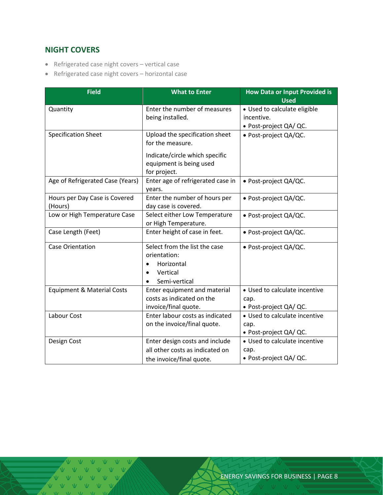#### <span id="page-7-0"></span>**NIGHT COVERS**

- Refrigerated case night covers vertical case
- Refrigerated case night covers horizontal case

| <b>Field</b>                             | <b>What to Enter</b>                                                                                               | <b>How Data or Input Provided is</b><br><b>Used</b>                  |  |
|------------------------------------------|--------------------------------------------------------------------------------------------------------------------|----------------------------------------------------------------------|--|
| Quantity                                 | Enter the number of measures<br>being installed.                                                                   | • Used to calculate eligible<br>incentive.<br>· Post-project QA/ QC. |  |
| <b>Specification Sheet</b>               | Upload the specification sheet<br>for the measure.                                                                 | · Post-project QA/QC.                                                |  |
|                                          | Indicate/circle which specific<br>equipment is being used<br>for project.                                          |                                                                      |  |
| Age of Refrigerated Case (Years)         | Enter age of refrigerated case in<br>years.                                                                        | · Post-project QA/QC.                                                |  |
| Hours per Day Case is Covered<br>(Hours) | Enter the number of hours per<br>day case is covered.                                                              | · Post-project QA/QC.                                                |  |
| Low or High Temperature Case             | Select either Low Temperature<br>or High Temperature.                                                              | · Post-project QA/QC.                                                |  |
| Case Length (Feet)                       | Enter height of case in feet.                                                                                      | · Post-project QA/QC.                                                |  |
| <b>Case Orientation</b>                  | Select from the list the case<br>orientation:<br>Horizontal<br>$\bullet$<br>Vertical<br>Semi-vertical<br>$\bullet$ | · Post-project QA/QC.                                                |  |
| <b>Equipment &amp; Material Costs</b>    | Enter equipment and material<br>costs as indicated on the<br>invoice/final quote.                                  | • Used to calculate incentive<br>cap.<br>· Post-project QA/ QC.      |  |
| Labour Cost                              | Enter labour costs as indicated<br>on the invoice/final quote.                                                     | • Used to calculate incentive<br>cap.<br>· Post-project QA/ QC.      |  |
| Design Cost                              | Enter design costs and include<br>all other costs as indicated on<br>the invoice/final quote.                      | • Used to calculate incentive<br>cap.<br>· Post-project QA/ QC.      |  |

V V V V V V V V V V V V  $V$   $V$   $V$   $V$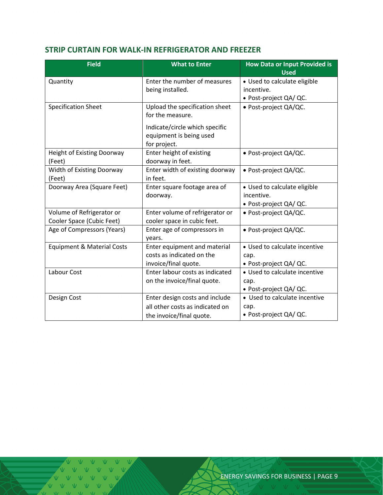#### <span id="page-8-0"></span>**STRIP CURTAIN FOR WALK-IN REFRIGERATOR AND FREEZER**

| <b>Field</b>                                           | <b>What to Enter</b>                                                      | <b>How Data or Input Provided is</b><br><b>Used</b> |  |
|--------------------------------------------------------|---------------------------------------------------------------------------|-----------------------------------------------------|--|
| Quantity                                               | Enter the number of measures<br>being installed.                          | · Used to calculate eligible<br>incentive.          |  |
|                                                        |                                                                           | • Post-project QA/ QC.                              |  |
| <b>Specification Sheet</b>                             | Upload the specification sheet<br>for the measure.                        | · Post-project QA/QC.                               |  |
|                                                        | Indicate/circle which specific<br>equipment is being used<br>for project. |                                                     |  |
| Height of Existing Doorway<br>(Feet)                   | Enter height of existing<br>doorway in feet.                              | · Post-project QA/QC.                               |  |
| Width of Existing Doorway<br>(Feet)                    | Enter width of existing doorway<br>in feet.                               | · Post-project QA/QC.                               |  |
| Doorway Area (Square Feet)                             | Enter square footage area of                                              | • Used to calculate eligible                        |  |
|                                                        | doorway.                                                                  | incentive.<br>· Post-project QA/ QC.                |  |
| Volume of Refrigerator or<br>Cooler Space (Cubic Feet) | Enter volume of refrigerator or<br>cooler space in cubic feet.            | · Post-project QA/QC.                               |  |
| Age of Compressors (Years)                             | Enter age of compressors in<br>years.                                     | · Post-project QA/QC.                               |  |
| <b>Equipment &amp; Material Costs</b>                  | Enter equipment and material                                              | • Used to calculate incentive                       |  |
|                                                        | costs as indicated on the                                                 | cap.                                                |  |
|                                                        | invoice/final quote.                                                      | · Post-project QA/ QC.                              |  |
| Labour Cost                                            | Enter labour costs as indicated<br>on the invoice/final quote.            | • Used to calculate incentive                       |  |
|                                                        |                                                                           | cap.<br>· Post-project QA/ QC.                      |  |
| Design Cost                                            | Enter design costs and include                                            | • Used to calculate incentive                       |  |
|                                                        | all other costs as indicated on                                           | cap.                                                |  |
|                                                        | the invoice/final quote.                                                  | · Post-project QA/ QC.                              |  |

 $\mathbb{V}$   $\mathbb{V}$  $V - V - V$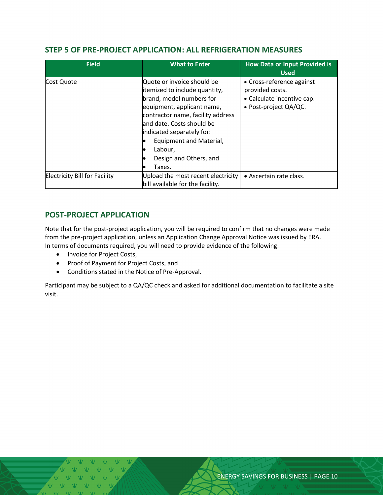#### <span id="page-9-0"></span>**STEP 5 OF PRE-PROJECT APPLICATION: ALL REFRIGERATION MEASURES**

| <b>Field</b>                         | <b>What to Enter</b>                                                                                                                                                                                                                                                                            | <b>How Data or Input Provided is</b><br><b>Used</b>                                                 |
|--------------------------------------|-------------------------------------------------------------------------------------------------------------------------------------------------------------------------------------------------------------------------------------------------------------------------------------------------|-----------------------------------------------------------------------------------------------------|
| Cost Quote                           | Quote or invoice should be<br>itemized to include quantity,<br>brand, model numbers for<br>equipment, applicant name,<br>contractor name, facility address<br>land date. Costs should be<br>indicated separately for:<br>Equipment and Material,<br>Labour,<br>Design and Others, and<br>Taxes. | • Cross-reference against<br>provided costs.<br>• Calculate incentive cap.<br>• Post-project QA/QC. |
| <b>Electricity Bill for Facility</b> | Upload the most recent electricity<br>bill available for the facility.                                                                                                                                                                                                                          | • Ascertain rate class.                                                                             |

#### <span id="page-9-1"></span>**POST-PROJECT APPLICATION**

Note that for the post-project application, you will be required to confirm that no changes were made from the pre-project application, unless an Application Change Approval Notice was issued by ERA. In terms of documents required, you will need to provide evidence of the following:

- Invoice for Project Costs,
- Proof of Payment for Project Costs, and
- Conditions stated in the Notice of Pre-Approval.

Participant may be subject to a QA/QC check and asked for additional documentation to facilitate a site visit.